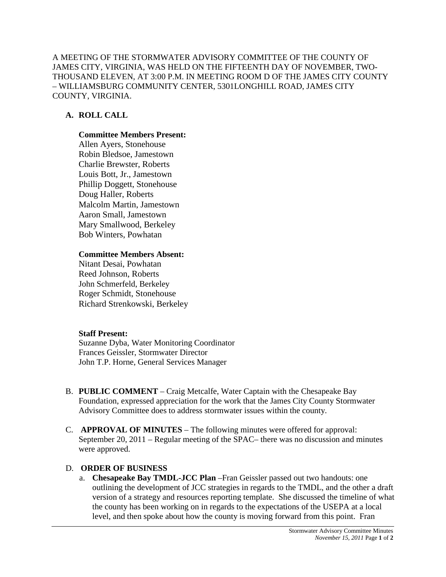A MEETING OF THE STORMWATER ADVISORY COMMITTEE OF THE COUNTY OF JAMES CITY, VIRGINIA, WAS HELD ON THE FIFTEENTH DAY OF NOVEMBER, TWO-THOUSAND ELEVEN, AT 3:00 P.M. IN MEETING ROOM D OF THE JAMES CITY COUNTY – WILLIAMSBURG COMMUNITY CENTER, 5301LONGHILL ROAD, JAMES CITY COUNTY, VIRGINIA.

## **A. ROLL CALL**

#### **Committee Members Present:**

Allen Ayers, Stonehouse Robin Bledsoe, Jamestown Charlie Brewster, Roberts Louis Bott, Jr., Jamestown Phillip Doggett, Stonehouse Doug Haller, Roberts Malcolm Martin, Jamestown Aaron Small, Jamestown Mary Smallwood, Berkeley Bob Winters, Powhatan

#### **Committee Members Absent:**

Nitant Desai, Powhatan Reed Johnson, Roberts John Schmerfeld, Berkeley Roger Schmidt, Stonehouse Richard Strenkowski, Berkeley

### **Staff Present:**

Suzanne Dyba, Water Monitoring Coordinator Frances Geissler, Stormwater Director John T.P. Horne, General Services Manager

- B. **PUBLIC COMMENT** Craig Metcalfe, Water Captain with the Chesapeake Bay Foundation, expressed appreciation for the work that the James City County Stormwater Advisory Committee does to address stormwater issues within the county.
- C. **APPROVAL OF MINUTES** The following minutes were offered for approval: September 20, 2011 – Regular meeting of the SPAC– there was no discussion and minutes were approved.

### D. **ORDER OF BUSINESS**

a. **Chesapeake Bay TMDL-JCC Plan** –Fran Geissler passed out two handouts: one outlining the development of JCC strategies in regards to the TMDL, and the other a draft version of a strategy and resources reporting template. She discussed the timeline of what the county has been working on in regards to the expectations of the USEPA at a local level, and then spoke about how the county is moving forward from this point. Fran